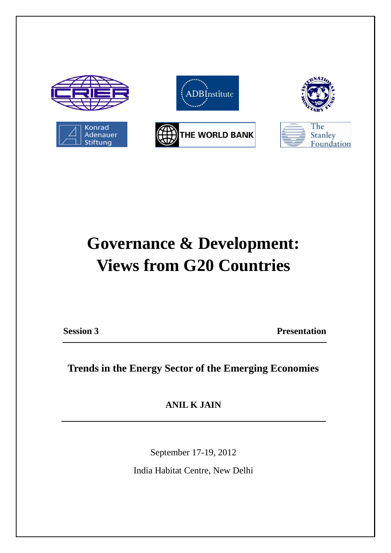

# **Governance & Development: Views from G20 Countries**

**Session 3 Presentation** 

**Trends in the Energy Sector of the Emerging Economies**

**ANIL K JAIN**

September 17-19, 2012

India Habitat Centre, New Delhi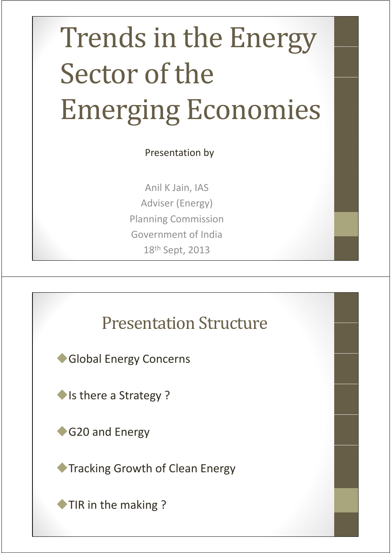# Trends in the Energy Trends in the Energy Sector of the **Emerging Economies**

Presentation by

Anil K Jain, IAS Adviser (Energy) Planning Commission Government of India 18th Sept, 2013

#### **Presentation Structure**

Global Energy Concerns

Is there a Strategy?

G20 and Energy

**Tracking Growth of Clean Energy** 

◆TIR in the making ?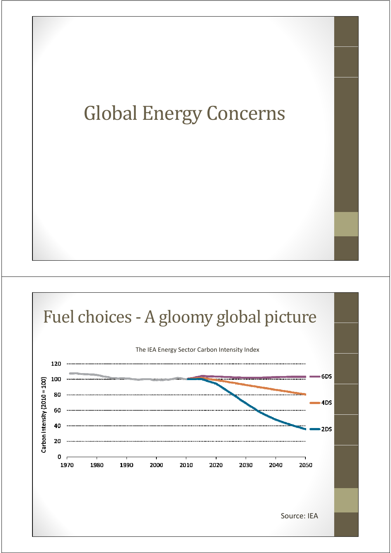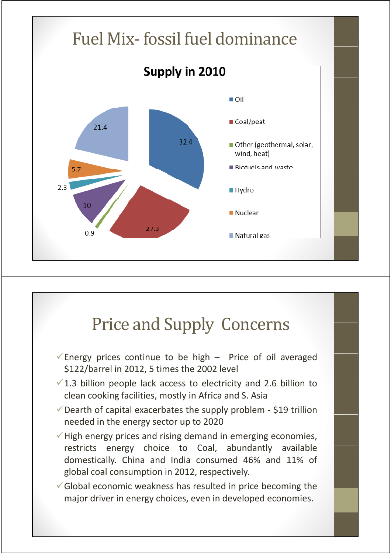

## Price and Supply Concerns

- $\checkmark$  Energy prices continue to be high Price of oil averaged \$122/barrel in 2012, 5 times the 2002 level
- $\sqrt{1.3}$  billion people lack access to electricity and 2.6 billion to clean cooking facilities, mostly in Africa and S. Asia
- $\checkmark$  Dearth of capital exacerbates the supply problem \$19 trillion needed in the energy sector up to 2020
- $\checkmark$  High energy prices and rising demand in emerging economies, restricts energy choice to Coal, abundantly available domestically. China and India consumed 46% and 11% of global coal consumption in 2012, respectively.
- $\checkmark$  Global economic weakness has resulted in price becoming the major driver in energy choices, even in developed economies.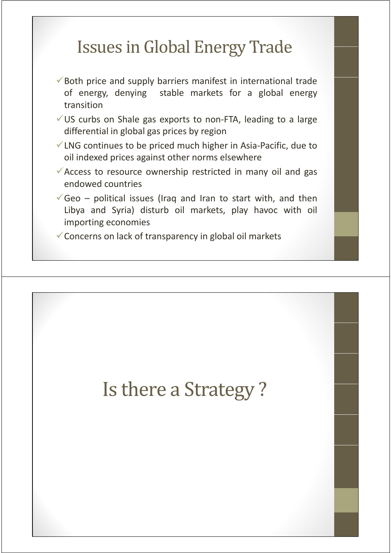# Issues in Global Energy Trade

- $\checkmark$  Both price and supply barriers manifest in international trade of energy, denying stable markets for a global energy transition
- $\checkmark$  US curbs on Shale gas exports to non-FTA, leading to a large differential in global gas prices by region
- $\checkmark$  LNG continues to be priced much higher in Asia-Pacific, due to oil indexed prices against other norms elsewhere
- $\sqrt{\ }$  Access to resource ownership restricted in many oil and gas endowed countries
- $\sqrt{\frac{1}{2}}$  Geo political issues (Iraq and Iran to start with, and then Libya and Syria) disturb oil markets, play havoc with oil importing economies
- $\checkmark$  Concerns on lack of transparency in global oil markets

# Is there a Strategy?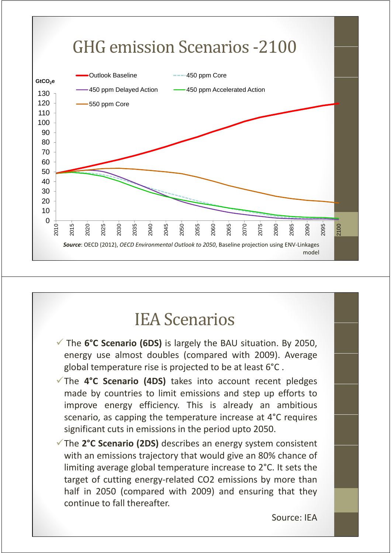

#### **IEA Scenarios**

- **√** The **6°C Scenario (6DS)** is largely the BAU situation. By 2050, energy use almost doubles (compared with 2009). Average global temperature rise is projected to be at least 6°C .
- The **4°C Scenario (4DS)** takes into account recent pledges made by countries to limit emissions and step up efforts to improve energy efficiency. This is already an ambitious scenario, as capping the temperature increase at 4°C requires significant cuts in emissions in the period upto 2050.
- The **2°C Scenario (2DS)** describes an energy system consistent with an emissions trajectory that would give an 80% chance of limiting average global temperature increase to 2°C. It sets the target of cutting energy‐related CO2 emissions by more than half in 2050 (compared with 2009) and ensuring that they continue to fall thereafter.

Source: IEA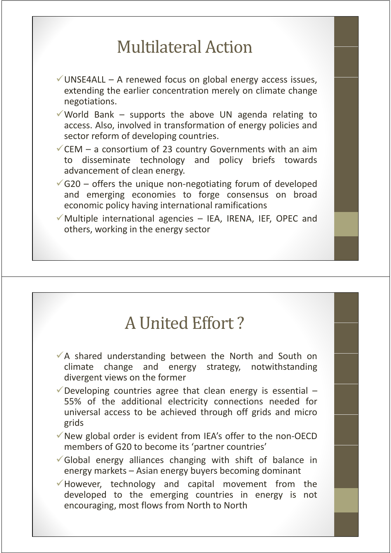## **Multilateral Action**

- $\checkmark$  UNSE4ALL A renewed focus on global energy access issues, extending the earlier concentration merely on climate change negotiations.
- V World Bank supports the above UN agenda relating to access. Also, involved in transformation of energy policies and sector reform of developing countries.
- $\checkmark$  CEM a consortium of 23 country Governments with an aim to disseminate technology and policy briefs towards advancement of clean energy.
- $\sqrt{G20}$  offers the unique non-negotiating forum of developed and emerging economies to forge consensus on broad economic policy having international ramifications
- $\checkmark$  Multiple international agencies IEA, IRENA, IEF, OPEC and others, working in the energy sector

#### A United Effort?

- $\sqrt{ }$  A shared understanding between the North and South on climate change and energy strategy, notwithstanding divergent views on the former
- $\checkmark$  Developing countries agree that clean energy is essential 55% of the additional electricity connections needed for universal access to be achieved through off grids and micro grids
- $\sqrt{}$ New global order is evident from IEA's offer to the non-OECD members of G20 to become its 'partner countries'
- $\checkmark$  Global energy alliances changing with shift of balance in energy markets – Asian energy buyers becoming dominant
- $\checkmark$  However, technology and capital movement from the developed to the emerging countries in energy is not encouraging, most flows from North to North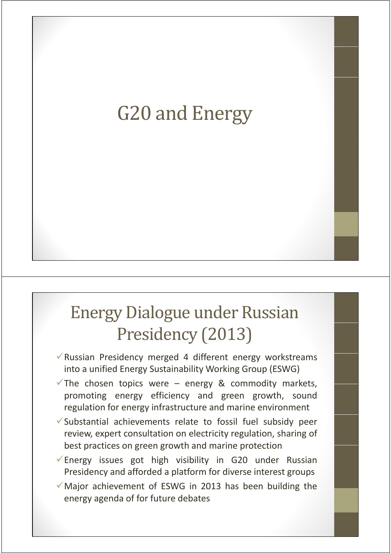# G20 and Energy

# Energy Dialogue under Russian Presidency (2013)

- $\sqrt{\ }$ Russian Presidency merged 4 different energy workstreams into a unified Energy Sustainability Working Group (ESWG)
- The chosen topics were energy & commodity markets, promoting energy efficiency and green growth, sound regulation for energy infrastructure and marine environment
- $\checkmark$  Substantial achievements relate to fossil fuel subsidy peer review, expert consultation on electricity regulation, sharing of best practices on green growth and marine protection
- $\sqrt{\frac{1}{2}}$  Energy issues got high visibility in G20 under Russian Presidency and afforded a platform for diverse interest groups
- $\checkmark$  Major achievement of ESWG in 2013 has been building the energy agenda of for future debates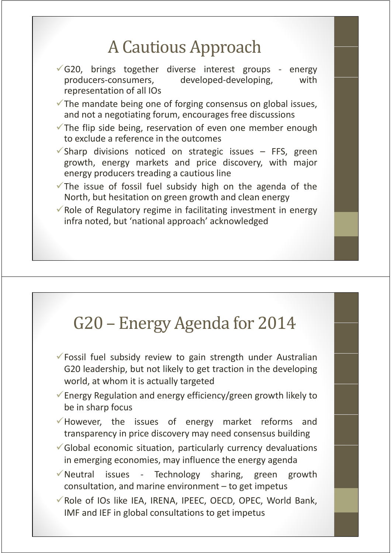# A Cautious Approach

- $\checkmark$ G20, brings together diverse interest groups energy producers-consumers, developed-developing, with representation of all IOs
- $\checkmark$  The mandate being one of forging consensus on global issues, and not a negotiating forum, encourages free discussions
- $\checkmark$  The flip side being, reservation of even one member enough to exclude a reference in the outcomes
- $\checkmark$ Sharp divisions noticed on strategic issues FFS, green growth, energy markets and price discovery, with major energy producers treading a cautious line
- $\checkmark$  The issue of fossil fuel subsidy high on the agenda of the North, but hesitation on green growth and clean energy
- $\checkmark$  Role of Regulatory regime in facilitating investment in energy infra noted, but 'national approach' acknowledged

#### G20 – Energy Agenda for 2014

- $\checkmark$  Fossil fuel subsidy review to gain strength under Australian G20 leadership, but not likely to get traction in the developing world, at whom it is actually targeted
- $\sqrt{\frac{1}{2}}$  Energy Regulation and energy efficiency/green growth likely to be in sharp focus
- $\checkmark$  However, the issues of energy market reforms and transparency in price discovery may need consensus building
- $\checkmark$  Global economic situation, particularly currency devaluations in emerging economies, may influence the energy agenda
- $\sqrt{\ }$ Neutral issues Technology sharing, green growth consultation, and marine environment – to get impetus
- $\checkmark$  Role of IOs like IEA, IRENA, IPEEC, OECD, OPEC, World Bank, IMF and IEF in global consultations to get impetus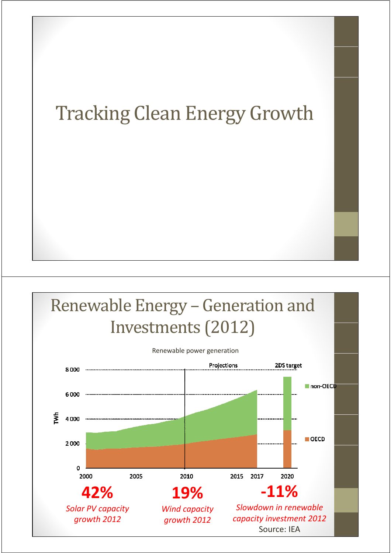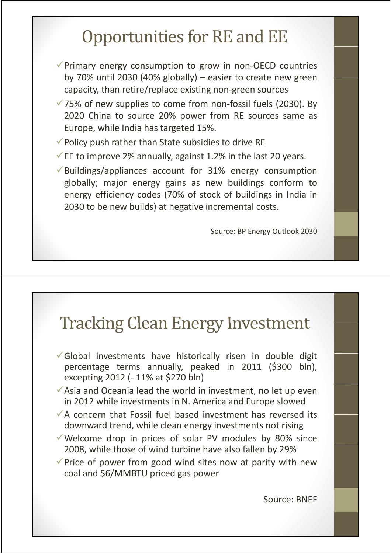## Opportunities for RE and EE

- $\checkmark$  Primary energy consumption to grow in non-OECD countries by 70% until 2030 (40% globally) – easier to create new green capacity, than retire/replace existing non‐green sources
- $\sqrt{75\%}$  of new supplies to come from non-fossil fuels (2030). By 2020 China to source 20% power from RE sources same as Europe, while India has targeted 15%.
- $\checkmark$  Policy push rather than State subsidies to drive RE
- $\checkmark$  EE to improve 2% annually, against 1.2% in the last 20 years.
- $\sqrt{\frac{1}{10}}$  Buildings/appliances account for 31% energy consumption globally; major energy gains as new buildings conform to energy efficiency codes (70% of stock of buildings in India in 2030 to be new builds) at negative incremental costs.

Source: BP Energy Outlook 2030

## Tracking Clean Energy Investment

- $\checkmark$  Global investments have historically risen in double digit percentage terms annually, peaked in 2011 (\$300 bln), excepting 2012 (‐ 11% at \$270 bln)
- $\checkmark$  Asia and Oceania lead the world in investment, no let up even in 2012 while investments in N. America and Europe slowed
- $\sqrt{ }$  A concern that Fossil fuel based investment has reversed its downward trend, while clean energy investments not rising
- $\checkmark$  Welcome drop in prices of solar PV modules by 80% since 2008, while those of wind turbine have also fallen by 29%
- $\checkmark$  Price of power from good wind sites now at parity with new coal and \$6/MMBTU priced gas power

Source: BNEF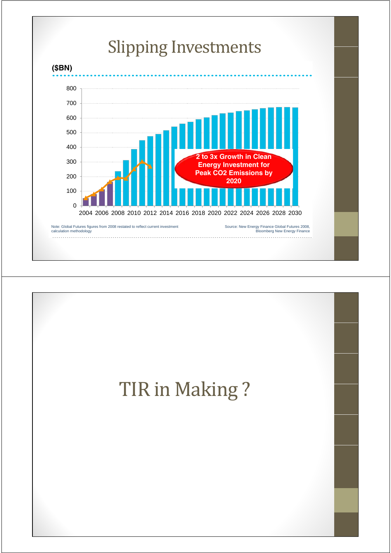